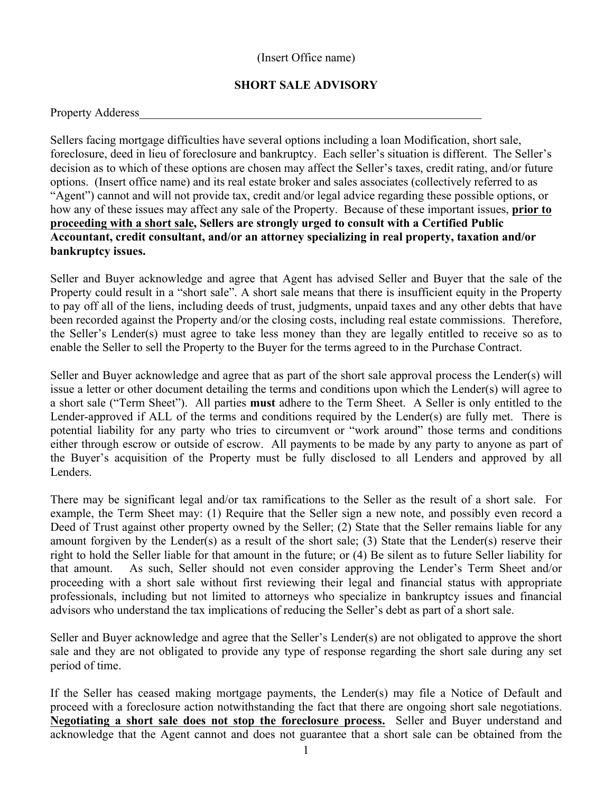## (Insert Office name)

## **SHORT SALE ADVISORY**

| <b>Property Adderess</b> |  |
|--------------------------|--|
|--------------------------|--|

Sellers facing mortgage difficulties have several options including a loan Modification, short sale, foreclosure, deed in lieu of foreclosure and bankruptcy. Each seller's situation is different. The Seller's decision as to which of these options are chosen may affect the Seller's taxes, credit rating, and/or future options. (Insert office name) and its real estate broker and sales associates (collectively referred to as "Agent") cannot and will not provide tax, credit and/or legal advice regarding these possible options, or how any of these issues may affect any sale of the Property. Because of these important issues, **prior to proceeding with a short sale, Sellers are strongly urged to consult with a Certified Public Accountant, credit consultant, and/or an attorney specializing in real property, taxation and/or bankruptcy issues.**

Seller and Buyer acknowledge and agree that Agent has advised Seller and Buyer that the sale of the Property could result in a "short sale". A short sale means that there is insufficient equity in the Property to pay off all of the liens, including deeds of trust, judgments, unpaid taxes and any other debts that have been recorded against the Property and/or the closing costs, including real estate commissions. Therefore, the Seller's Lender(s) must agree to take less money than they are legally entitled to receive so as to enable the Seller to sell the Property to the Buyer for the terms agreed to in the Purchase Contract.

Seller and Buyer acknowledge and agree that as part of the short sale approval process the Lender(s) will issue a letter or other document detailing the terms and conditions upon which the Lender(s) will agree to a short sale ("Term Sheet"). All parties **must** adhere to the Term Sheet. A Seller is only entitled to the Lender-approved if ALL of the terms and conditions required by the Lender(s) are fully met. There is potential liability for any party who tries to circumvent or "work around" those terms and conditions either through escrow or outside of escrow. All payments to be made by any party to anyone as part of the Buyer's acquisition of the Property must be fully disclosed to all Lenders and approved by all Lenders.

There may be significant legal and/or tax ramifications to the Seller as the result of a short sale. For example, the Term Sheet may: (1) Require that the Seller sign a new note, and possibly even record a Deed of Trust against other property owned by the Seller; (2) State that the Seller remains liable for any amount forgiven by the Lender(s) as a result of the short sale; (3) State that the Lender(s) reserve their right to hold the Seller liable for that amount in the future; or (4) Be silent as to future Seller liability for that amount. As such, Seller should not even consider approving the Lender's Term Sheet and/or proceeding with a short sale without first reviewing their legal and financial status with appropriate professionals, including but not limited to attorneys who specialize in bankruptcy issues and financial advisors who understand the tax implications of reducing the Seller's debt as part of a short sale.

Seller and Buyer acknowledge and agree that the Seller's Lender(s) are not obligated to approve the short sale and they are not obligated to provide any type of response regarding the short sale during any set period of time.

If the Seller has ceased making mortgage payments, the Lender(s) may file a Notice of Default and proceed with a foreclosure action notwithstanding the fact that there are ongoing short sale negotiations. **Negotiating a short sale does not stop the foreclosure process.** Seller and Buyer understand and acknowledge that the Agent cannot and does not guarantee that a short sale can be obtained from the